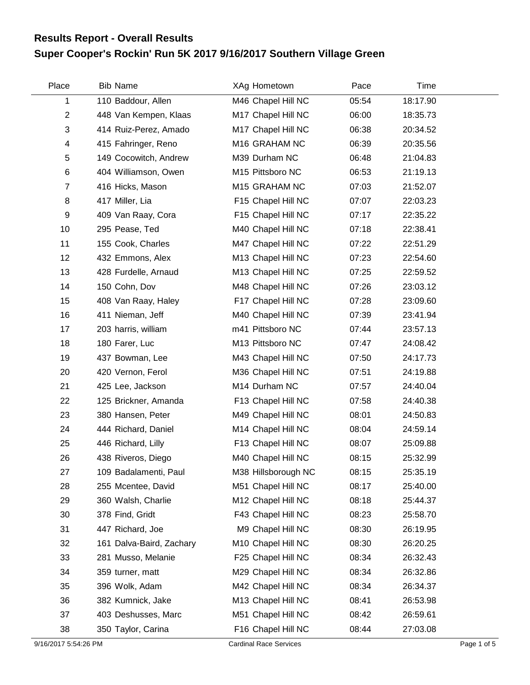## **Super Cooper's Rockin' Run 5K 2017 9/16/2017 Southern Village Green Results Report - Overall Results**

| Place          | <b>Bib Name</b>          | XAg Hometown        | Pace  | Time     |
|----------------|--------------------------|---------------------|-------|----------|
| 1              | 110 Baddour, Allen       | M46 Chapel Hill NC  | 05:54 | 18:17.90 |
| $\overline{2}$ | 448 Van Kempen, Klaas    | M17 Chapel Hill NC  | 06:00 | 18:35.73 |
| 3              | 414 Ruiz-Perez, Amado    | M17 Chapel Hill NC  | 06:38 | 20:34.52 |
| 4              | 415 Fahringer, Reno      | M16 GRAHAM NC       | 06:39 | 20:35.56 |
| 5              | 149 Cocowitch, Andrew    | M39 Durham NC       | 06:48 | 21:04.83 |
| 6              | 404 Williamson, Owen     | M15 Pittsboro NC    | 06:53 | 21:19.13 |
| $\overline{7}$ | 416 Hicks, Mason         | M15 GRAHAM NC       | 07:03 | 21:52.07 |
| 8              | 417 Miller, Lia          | F15 Chapel Hill NC  | 07:07 | 22:03.23 |
| 9              | 409 Van Raay, Cora       | F15 Chapel Hill NC  | 07:17 | 22:35.22 |
| 10             | 295 Pease, Ted           | M40 Chapel Hill NC  | 07:18 | 22:38.41 |
| 11             | 155 Cook, Charles        | M47 Chapel Hill NC  | 07:22 | 22:51.29 |
| 12             | 432 Emmons, Alex         | M13 Chapel Hill NC  | 07:23 | 22:54.60 |
| 13             | 428 Furdelle, Arnaud     | M13 Chapel Hill NC  | 07:25 | 22:59.52 |
| 14             | 150 Cohn, Dov            | M48 Chapel Hill NC  | 07:26 | 23:03.12 |
| 15             | 408 Van Raay, Haley      | F17 Chapel Hill NC  | 07:28 | 23:09.60 |
| 16             | 411 Nieman, Jeff         | M40 Chapel Hill NC  | 07:39 | 23:41.94 |
| 17             | 203 harris, william      | m41 Pittsboro NC    | 07:44 | 23:57.13 |
| 18             | 180 Farer, Luc           | M13 Pittsboro NC    | 07:47 | 24:08.42 |
| 19             | 437 Bowman, Lee          | M43 Chapel Hill NC  | 07:50 | 24:17.73 |
| 20             | 420 Vernon, Ferol        | M36 Chapel Hill NC  | 07:51 | 24:19.88 |
| 21             | 425 Lee, Jackson         | M14 Durham NC       | 07:57 | 24:40.04 |
| 22             | 125 Brickner, Amanda     | F13 Chapel Hill NC  | 07:58 | 24:40.38 |
| 23             | 380 Hansen, Peter        | M49 Chapel Hill NC  | 08:01 | 24:50.83 |
| 24             | 444 Richard, Daniel      | M14 Chapel Hill NC  | 08:04 | 24:59.14 |
| 25             | 446 Richard, Lilly       | F13 Chapel Hill NC  | 08:07 | 25:09.88 |
| 26             | 438 Riveros, Diego       | M40 Chapel Hill NC  | 08:15 | 25:32.99 |
| 27             | 109 Badalamenti, Paul    | M38 Hillsborough NC | 08:15 | 25:35.19 |
| 28             | 255 Mcentee, David       | M51 Chapel Hill NC  | 08:17 | 25:40.00 |
| 29             | 360 Walsh, Charlie       | M12 Chapel Hill NC  | 08:18 | 25:44.37 |
| 30             | 378 Find, Gridt          | F43 Chapel Hill NC  | 08:23 | 25:58.70 |
| 31             | 447 Richard, Joe         | M9 Chapel Hill NC   | 08:30 | 26:19.95 |
| 32             | 161 Dalva-Baird, Zachary | M10 Chapel Hill NC  | 08:30 | 26:20.25 |
| 33             | 281 Musso, Melanie       | F25 Chapel Hill NC  | 08:34 | 26:32.43 |
| 34             | 359 turner, matt         | M29 Chapel Hill NC  | 08:34 | 26:32.86 |
| 35             | 396 Wolk, Adam           | M42 Chapel Hill NC  | 08:34 | 26:34.37 |
| 36             | 382 Kumnick, Jake        | M13 Chapel Hill NC  | 08:41 | 26:53.98 |
| 37             | 403 Deshusses, Marc      | M51 Chapel Hill NC  | 08:42 | 26:59.61 |
| 38             | 350 Taylor, Carina       | F16 Chapel Hill NC  | 08:44 | 27:03.08 |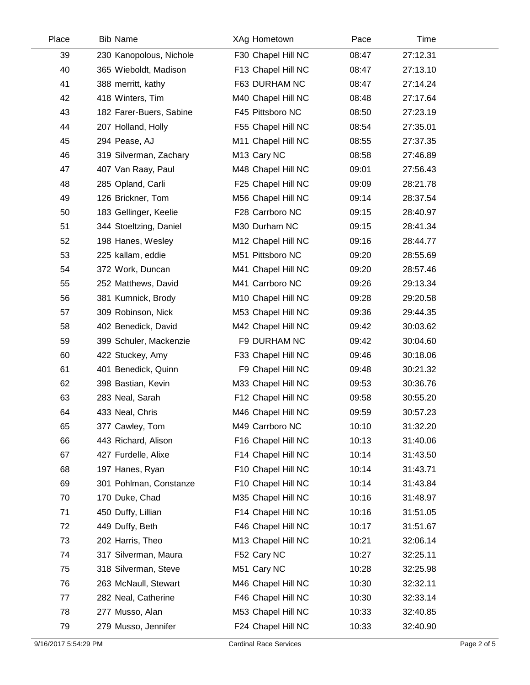| Place | <b>Bib Name</b>         | XAg Hometown            | Pace  | Time     |  |
|-------|-------------------------|-------------------------|-------|----------|--|
| 39    | 230 Kanopolous, Nichole | F30 Chapel Hill NC      | 08:47 | 27:12.31 |  |
| 40    | 365 Wieboldt, Madison   | F13 Chapel Hill NC      | 08:47 | 27:13.10 |  |
| 41    | 388 merritt, kathy      | F63 DURHAM NC           | 08:47 | 27:14.24 |  |
| 42    | 418 Winters, Tim        | M40 Chapel Hill NC      | 08:48 | 27:17.64 |  |
| 43    | 182 Farer-Buers, Sabine | F45 Pittsboro NC        | 08:50 | 27:23.19 |  |
| 44    | 207 Holland, Holly      | F55 Chapel Hill NC      | 08:54 | 27:35.01 |  |
| 45    | 294 Pease, AJ           | M11 Chapel Hill NC      | 08:55 | 27:37.35 |  |
| 46    | 319 Silverman, Zachary  | M <sub>13</sub> Cary NC | 08:58 | 27:46.89 |  |
| 47    | 407 Van Raay, Paul      | M48 Chapel Hill NC      | 09:01 | 27:56.43 |  |
| 48    | 285 Opland, Carli       | F25 Chapel Hill NC      | 09:09 | 28:21.78 |  |
| 49    | 126 Brickner, Tom       | M56 Chapel Hill NC      | 09:14 | 28:37.54 |  |
| 50    | 183 Gellinger, Keelie   | F28 Carrboro NC         | 09:15 | 28:40.97 |  |
| 51    | 344 Stoeltzing, Daniel  | M30 Durham NC           | 09:15 | 28:41.34 |  |
| 52    | 198 Hanes, Wesley       | M12 Chapel Hill NC      | 09:16 | 28:44.77 |  |
| 53    | 225 kallam, eddie       | M51 Pittsboro NC        | 09:20 | 28:55.69 |  |
| 54    | 372 Work, Duncan        | M41 Chapel Hill NC      | 09:20 | 28:57.46 |  |
| 55    | 252 Matthews, David     | M41 Carrboro NC         | 09:26 | 29:13.34 |  |
| 56    | 381 Kumnick, Brody      | M10 Chapel Hill NC      | 09:28 | 29:20.58 |  |
| 57    | 309 Robinson, Nick      | M53 Chapel Hill NC      | 09:36 | 29:44.35 |  |
| 58    | 402 Benedick, David     | M42 Chapel Hill NC      | 09:42 | 30:03.62 |  |
| 59    | 399 Schuler, Mackenzie  | F9 DURHAM NC            | 09:42 | 30:04.60 |  |
| 60    | 422 Stuckey, Amy        | F33 Chapel Hill NC      | 09:46 | 30:18.06 |  |
| 61    | 401 Benedick, Quinn     | F9 Chapel Hill NC       | 09:48 | 30:21.32 |  |
| 62    | 398 Bastian, Kevin      | M33 Chapel Hill NC      | 09:53 | 30:36.76 |  |
| 63    | 283 Neal, Sarah         | F12 Chapel Hill NC      | 09:58 | 30:55.20 |  |
| 64    | 433 Neal, Chris         | M46 Chapel Hill NC      | 09:59 | 30:57.23 |  |
| 65    | 377 Cawley, Tom         | M49 Carrboro NC         | 10:10 | 31:32.20 |  |
| 66    | 443 Richard, Alison     | F16 Chapel Hill NC      | 10:13 | 31:40.06 |  |
| 67    | 427 Furdelle, Alixe     | F14 Chapel Hill NC      | 10:14 | 31:43.50 |  |
| 68    | 197 Hanes, Ryan         | F10 Chapel Hill NC      | 10:14 | 31:43.71 |  |
| 69    | 301 Pohlman, Constanze  | F10 Chapel Hill NC      | 10:14 | 31:43.84 |  |
| 70    | 170 Duke, Chad          | M35 Chapel Hill NC      | 10:16 | 31:48.97 |  |
| 71    | 450 Duffy, Lillian      | F14 Chapel Hill NC      | 10:16 | 31:51.05 |  |
| 72    | 449 Duffy, Beth         | F46 Chapel Hill NC      | 10:17 | 31:51.67 |  |
| 73    | 202 Harris, Theo        | M13 Chapel Hill NC      | 10:21 | 32:06.14 |  |
| 74    | 317 Silverman, Maura    | F52 Cary NC             | 10:27 | 32:25.11 |  |
| 75    | 318 Silverman, Steve    | M51 Cary NC             | 10:28 | 32:25.98 |  |
| 76    | 263 McNaull, Stewart    | M46 Chapel Hill NC      | 10:30 | 32:32.11 |  |
| 77    | 282 Neal, Catherine     | F46 Chapel Hill NC      | 10:30 | 32:33.14 |  |
| 78    | 277 Musso, Alan         | M53 Chapel Hill NC      | 10:33 | 32:40.85 |  |
| 79    | 279 Musso, Jennifer     | F24 Chapel Hill NC      | 10:33 | 32:40.90 |  |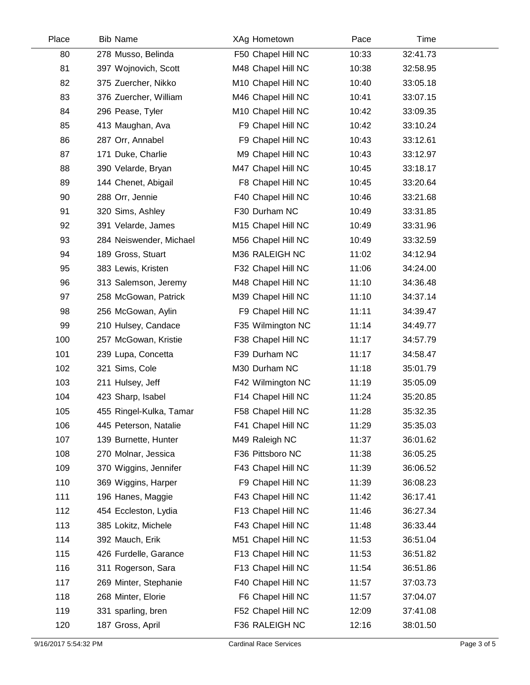| Place | <b>Bib Name</b>         | XAg Hometown       | Pace  | Time     |  |
|-------|-------------------------|--------------------|-------|----------|--|
| 80    | 278 Musso, Belinda      | F50 Chapel Hill NC | 10:33 | 32:41.73 |  |
| 81    | 397 Wojnovich, Scott    | M48 Chapel Hill NC | 10:38 | 32:58.95 |  |
| 82    | 375 Zuercher, Nikko     | M10 Chapel Hill NC | 10:40 | 33:05.18 |  |
| 83    | 376 Zuercher, William   | M46 Chapel Hill NC | 10:41 | 33:07.15 |  |
| 84    | 296 Pease, Tyler        | M10 Chapel Hill NC | 10:42 | 33:09.35 |  |
| 85    | 413 Maughan, Ava        | F9 Chapel Hill NC  | 10:42 | 33:10.24 |  |
| 86    | 287 Orr, Annabel        | F9 Chapel Hill NC  | 10:43 | 33:12.61 |  |
| 87    | 171 Duke, Charlie       | M9 Chapel Hill NC  | 10:43 | 33:12.97 |  |
| 88    | 390 Velarde, Bryan      | M47 Chapel Hill NC | 10:45 | 33:18.17 |  |
| 89    | 144 Chenet, Abigail     | F8 Chapel Hill NC  | 10:45 | 33:20.64 |  |
| 90    | 288 Orr, Jennie         | F40 Chapel Hill NC | 10:46 | 33:21.68 |  |
| 91    | 320 Sims, Ashley        | F30 Durham NC      | 10:49 | 33:31.85 |  |
| 92    | 391 Velarde, James      | M15 Chapel Hill NC | 10:49 | 33:31.96 |  |
| 93    | 284 Neiswender, Michael | M56 Chapel Hill NC | 10:49 | 33:32.59 |  |
| 94    | 189 Gross, Stuart       | M36 RALEIGH NC     | 11:02 | 34:12.94 |  |
| 95    | 383 Lewis, Kristen      | F32 Chapel Hill NC | 11:06 | 34:24.00 |  |
| 96    | 313 Salemson, Jeremy    | M48 Chapel Hill NC | 11:10 | 34:36.48 |  |
| 97    | 258 McGowan, Patrick    | M39 Chapel Hill NC | 11:10 | 34:37.14 |  |
| 98    | 256 McGowan, Aylin      | F9 Chapel Hill NC  | 11:11 | 34:39.47 |  |
| 99    | 210 Hulsey, Candace     | F35 Wilmington NC  | 11:14 | 34:49.77 |  |
| 100   | 257 McGowan, Kristie    | F38 Chapel Hill NC | 11:17 | 34:57.79 |  |
| 101   | 239 Lupa, Concetta      | F39 Durham NC      | 11:17 | 34:58.47 |  |
| 102   | 321 Sims, Cole          | M30 Durham NC      | 11:18 | 35:01.79 |  |
| 103   | 211 Hulsey, Jeff        | F42 Wilmington NC  | 11:19 | 35:05.09 |  |
| 104   | 423 Sharp, Isabel       | F14 Chapel Hill NC | 11:24 | 35:20.85 |  |
| 105   | 455 Ringel-Kulka, Tamar | F58 Chapel Hill NC | 11:28 | 35:32.35 |  |
| 106   | 445 Peterson, Natalie   | F41 Chapel Hill NC | 11:29 | 35:35.03 |  |
| 107   | 139 Burnette, Hunter    | M49 Raleigh NC     | 11:37 | 36:01.62 |  |
| 108   | 270 Molnar, Jessica     | F36 Pittsboro NC   | 11:38 | 36:05.25 |  |
| 109   | 370 Wiggins, Jennifer   | F43 Chapel Hill NC | 11:39 | 36:06.52 |  |
| 110   | 369 Wiggins, Harper     | F9 Chapel Hill NC  | 11:39 | 36:08.23 |  |
| 111   | 196 Hanes, Maggie       | F43 Chapel Hill NC | 11:42 | 36:17.41 |  |
| 112   | 454 Eccleston, Lydia    | F13 Chapel Hill NC | 11:46 | 36:27.34 |  |
| 113   | 385 Lokitz, Michele     | F43 Chapel Hill NC | 11:48 | 36:33.44 |  |
| 114   | 392 Mauch, Erik         | M51 Chapel Hill NC | 11:53 | 36:51.04 |  |
| 115   | 426 Furdelle, Garance   | F13 Chapel Hill NC | 11:53 | 36:51.82 |  |
| 116   | 311 Rogerson, Sara      | F13 Chapel Hill NC | 11:54 | 36:51.86 |  |
| 117   | 269 Minter, Stephanie   | F40 Chapel Hill NC | 11:57 | 37:03.73 |  |
| 118   | 268 Minter, Elorie      | F6 Chapel Hill NC  | 11:57 | 37:04.07 |  |
| 119   | 331 sparling, bren      | F52 Chapel Hill NC | 12:09 | 37:41.08 |  |
| 120   | 187 Gross, April        | F36 RALEIGH NC     | 12:16 | 38:01.50 |  |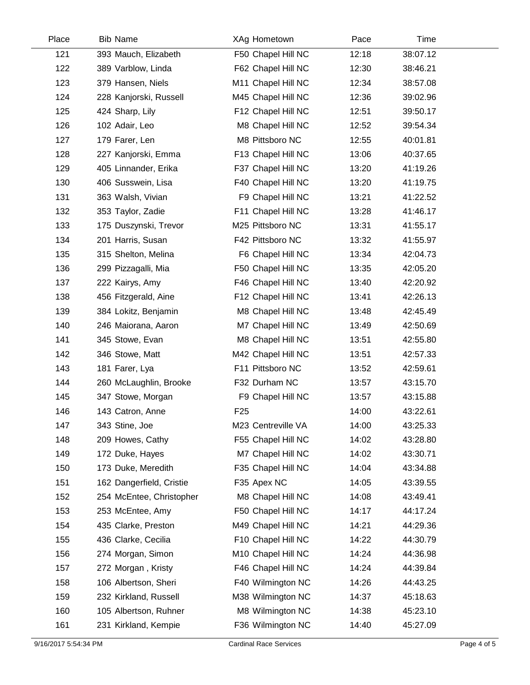| Place | <b>Bib Name</b>          | XAg Hometown       | Pace  | Time     |  |
|-------|--------------------------|--------------------|-------|----------|--|
| 121   | 393 Mauch, Elizabeth     | F50 Chapel Hill NC | 12:18 | 38:07.12 |  |
| 122   | 389 Varblow, Linda       | F62 Chapel Hill NC | 12:30 | 38:46.21 |  |
| 123   | 379 Hansen, Niels        | M11 Chapel Hill NC | 12:34 | 38:57.08 |  |
| 124   | 228 Kanjorski, Russell   | M45 Chapel Hill NC | 12:36 | 39:02.96 |  |
| 125   | 424 Sharp, Lily          | F12 Chapel Hill NC | 12:51 | 39:50.17 |  |
| 126   | 102 Adair, Leo           | M8 Chapel Hill NC  | 12:52 | 39:54.34 |  |
| 127   | 179 Farer, Len           | M8 Pittsboro NC    | 12:55 | 40:01.81 |  |
| 128   | 227 Kanjorski, Emma      | F13 Chapel Hill NC | 13:06 | 40:37.65 |  |
| 129   | 405 Linnander, Erika     | F37 Chapel Hill NC | 13:20 | 41:19.26 |  |
| 130   | 406 Susswein, Lisa       | F40 Chapel Hill NC | 13:20 | 41:19.75 |  |
| 131   | 363 Walsh, Vivian        | F9 Chapel Hill NC  | 13:21 | 41:22.52 |  |
| 132   | 353 Taylor, Zadie        | F11 Chapel Hill NC | 13:28 | 41:46.17 |  |
| 133   | 175 Duszynski, Trevor    | M25 Pittsboro NC   | 13:31 | 41:55.17 |  |
| 134   | 201 Harris, Susan        | F42 Pittsboro NC   | 13:32 | 41:55.97 |  |
| 135   | 315 Shelton, Melina      | F6 Chapel Hill NC  | 13:34 | 42:04.73 |  |
| 136   | 299 Pizzagalli, Mia      | F50 Chapel Hill NC | 13:35 | 42:05.20 |  |
| 137   | 222 Kairys, Amy          | F46 Chapel Hill NC | 13:40 | 42:20.92 |  |
| 138   | 456 Fitzgerald, Aine     | F12 Chapel Hill NC | 13:41 | 42:26.13 |  |
| 139   | 384 Lokitz, Benjamin     | M8 Chapel Hill NC  | 13:48 | 42:45.49 |  |
| 140   | 246 Maiorana, Aaron      | M7 Chapel Hill NC  | 13:49 | 42:50.69 |  |
| 141   | 345 Stowe, Evan          | M8 Chapel Hill NC  | 13:51 | 42:55.80 |  |
| 142   | 346 Stowe, Matt          | M42 Chapel Hill NC | 13:51 | 42:57.33 |  |
| 143   | 181 Farer, Lya           | F11 Pittsboro NC   | 13:52 | 42:59.61 |  |
| 144   | 260 McLaughlin, Brooke   | F32 Durham NC      | 13:57 | 43:15.70 |  |
| 145   | 347 Stowe, Morgan        | F9 Chapel Hill NC  | 13:57 | 43:15.88 |  |
| 146   | 143 Catron, Anne         | F <sub>25</sub>    | 14:00 | 43:22.61 |  |
| 147   | 343 Stine, Joe           | M23 Centreville VA | 14:00 | 43:25.33 |  |
| 148   | 209 Howes, Cathy         | F55 Chapel Hill NC | 14:02 | 43:28.80 |  |
| 149   | 172 Duke, Hayes          | M7 Chapel Hill NC  | 14:02 | 43:30.71 |  |
| 150   | 173 Duke, Meredith       | F35 Chapel Hill NC | 14:04 | 43:34.88 |  |
| 151   | 162 Dangerfield, Cristie | F35 Apex NC        | 14:05 | 43:39.55 |  |
| 152   | 254 McEntee, Christopher | M8 Chapel Hill NC  | 14:08 | 43:49.41 |  |
| 153   | 253 McEntee, Amy         | F50 Chapel Hill NC | 14:17 | 44:17.24 |  |
| 154   | 435 Clarke, Preston      | M49 Chapel Hill NC | 14:21 | 44:29.36 |  |
| 155   | 436 Clarke, Cecilia      | F10 Chapel Hill NC | 14:22 | 44:30.79 |  |
| 156   | 274 Morgan, Simon        | M10 Chapel Hill NC | 14:24 | 44:36.98 |  |
| 157   | 272 Morgan, Kristy       | F46 Chapel Hill NC | 14:24 | 44:39.84 |  |
| 158   | 106 Albertson, Sheri     | F40 Wilmington NC  | 14:26 | 44:43.25 |  |
| 159   | 232 Kirkland, Russell    | M38 Wilmington NC  | 14:37 | 45:18.63 |  |
| 160   | 105 Albertson, Ruhner    | M8 Wilmington NC   | 14:38 | 45:23.10 |  |
| 161   | 231 Kirkland, Kempie     | F36 Wilmington NC  | 14:40 | 45:27.09 |  |